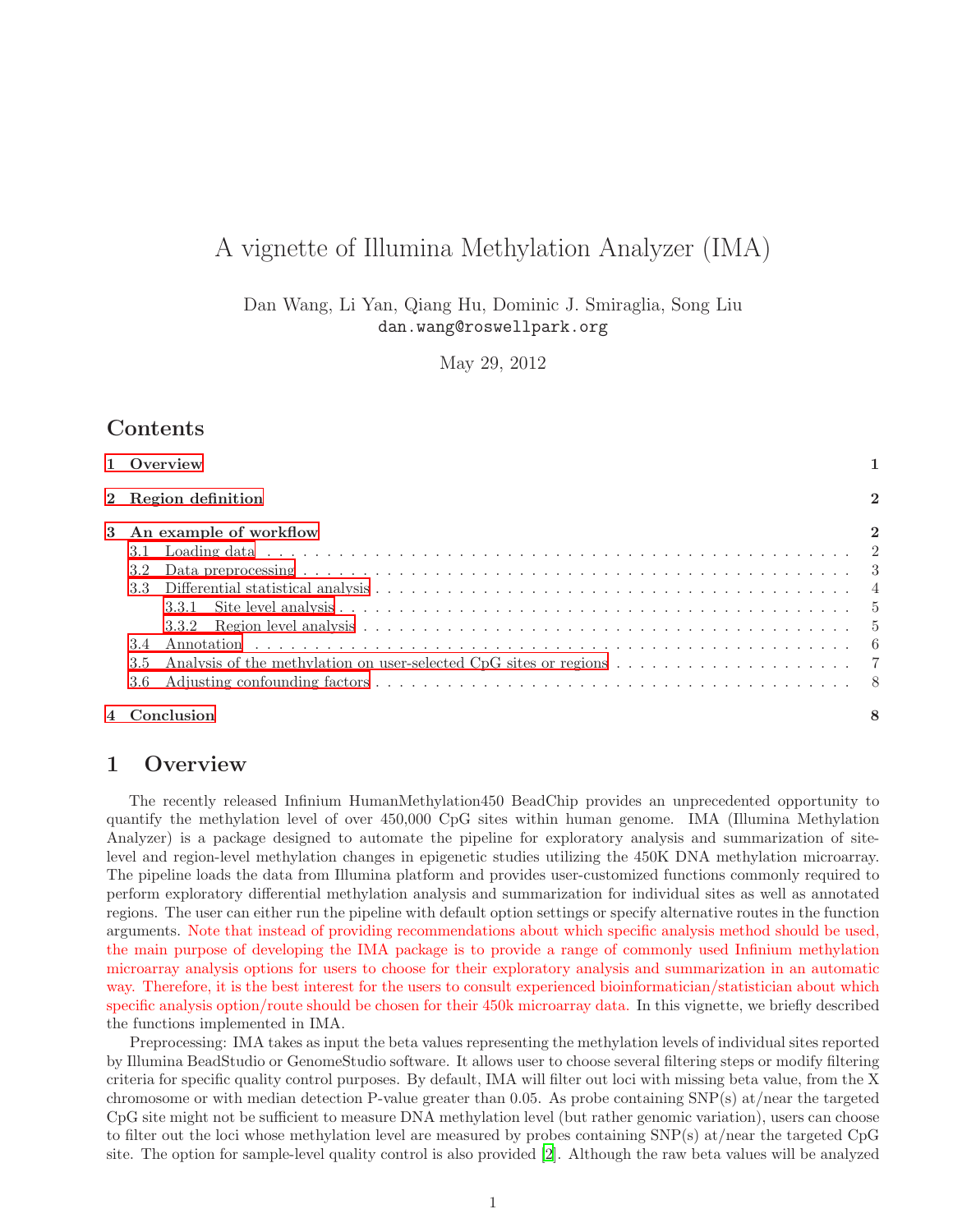# A vignette of Illumina Methylation Analyzer (IMA)

Dan Wang, Li Yan, Qiang Hu, Dominic J. Smiraglia, Song Liu dan.wang@roswellpark.org

May 29, 2012

# Contents

| 1 Overview                                                                                                          |                  |
|---------------------------------------------------------------------------------------------------------------------|------------------|
| 2 Region definition                                                                                                 | $\boldsymbol{2}$ |
| 3 An example of workflow                                                                                            | $\overline{2}$   |
|                                                                                                                     |                  |
|                                                                                                                     |                  |
|                                                                                                                     |                  |
|                                                                                                                     |                  |
| 3.5 Analysis of the methylation on user-selected CpG sites or regions $\ldots \ldots \ldots \ldots \ldots \ldots$ 7 |                  |
|                                                                                                                     |                  |
| 4 Conclusion                                                                                                        | 8                |

# <span id="page-0-0"></span>1 Overview

The recently released Infinium HumanMethylation450 BeadChip provides an unprecedented opportunity to quantify the methylation level of over 450,000 CpG sites within human genome. IMA (Illumina Methylation Analyzer) is a package designed to automate the pipeline for exploratory analysis and summarization of sitelevel and region-level methylation changes in epigenetic studies utilizing the 450K DNA methylation microarray. The pipeline loads the data from Illumina platform and provides user-customized functions commonly required to perform exploratory differential methylation analysis and summarization for individual sites as well as annotated regions. The user can either run the pipeline with default option settings or specify alternative routes in the function arguments. Note that instead of providing recommendations about which specific analysis method should be used, the main purpose of developing the IMA package is to provide a range of commonly used Infinium methylation microarray analysis options for users to choose for their exploratory analysis and summarization in an automatic way. Therefore, it is the best interest for the users to consult experienced bioinformatician/statistician about which specific analysis option/route should be chosen for their 450k microarray data. In this vignette, we briefly described the functions implemented in IMA.

Preprocessing: IMA takes as input the beta values representing the methylation levels of individual sites reported by Illumina BeadStudio or GenomeStudio software. It allows user to choose several filtering steps or modify filtering criteria for specific quality control purposes. By default, IMA will filter out loci with missing beta value, from the X chromosome or with median detection P-value greater than 0.05. As probe containing  $SNP(s)$  at/near the targeted CpG site might not be sufficient to measure DNA methylation level (but rather genomic variation), users can choose to filter out the loci whose methylation level are measured by probes containing SNP(s) at/near the targeted CpG site. The option for sample-level quality control is also provided [\[2](#page-8-0)]. Although the raw beta values will be analyzed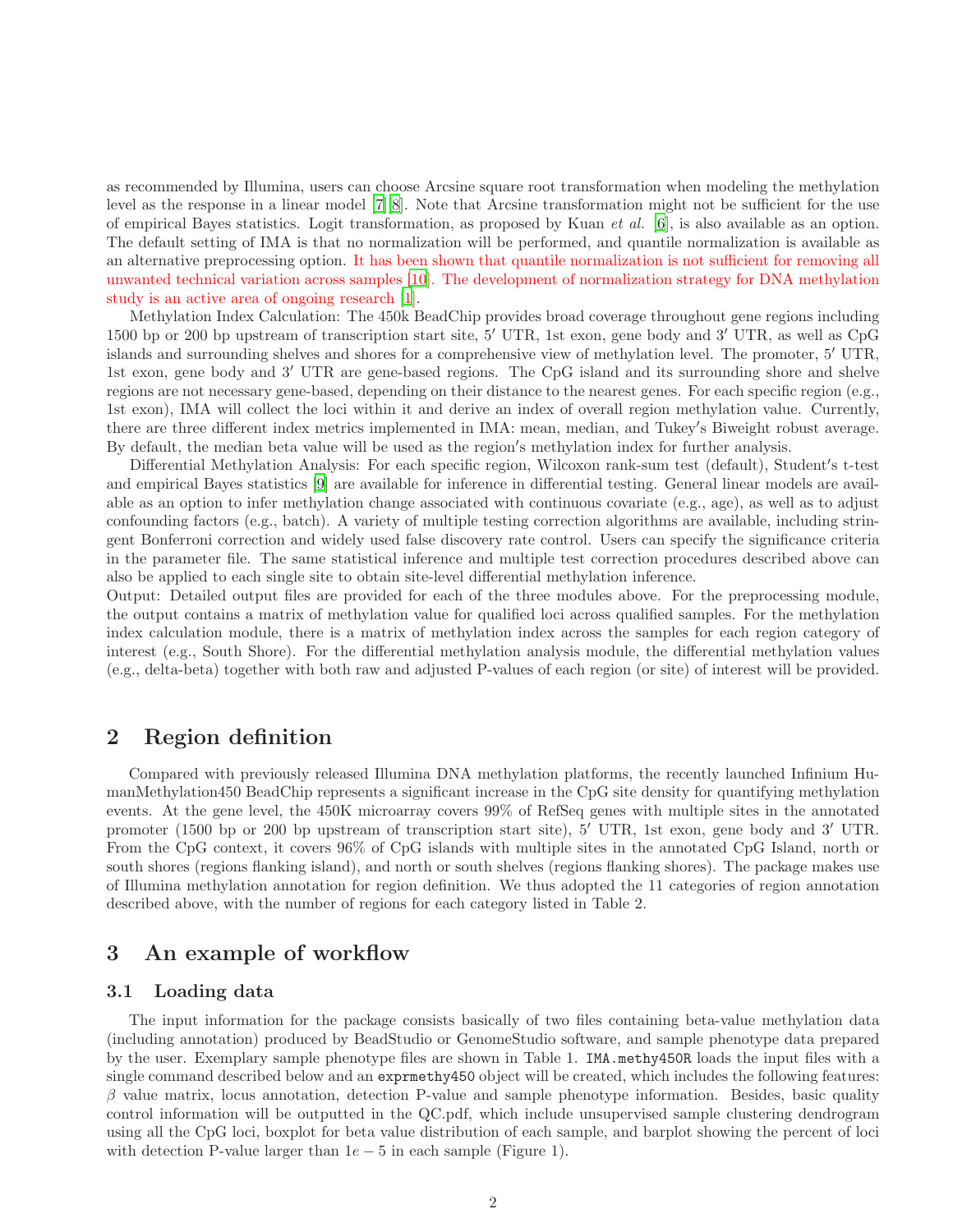as recommended by Illumina, users can choose Arcsine square root transformation when modeling the methylation level as the response in a linear model [\[7](#page-8-1)][\[8\]](#page-8-2). Note that Arcsine transformation might not be sufficient for the use of empirical Bayes statistics. Logit transformation, as proposed by Kuan et al. [\[6](#page-8-3)], is also available as an option. The default setting of IMA is that no normalization will be performed, and quantile normalization is available as an alternative preprocessing option. It has been shown that quantile normalization is not sufficient for removing all unwanted technical variation across samples [\[10](#page-8-4)]. The development of normalization strategy for DNA methylation study is an active area of ongoing research [\[1\]](#page-8-5).

Methylation Index Calculation: The 450k BeadChip provides broad coverage throughout gene regions including 1500 bp or 200 bp upstream of transcription start site, 5′ UTR, 1st exon, gene body and 3′ UTR, as well as CpG islands and surrounding shelves and shores for a comprehensive view of methylation level. The promoter, 5′ UTR, 1st exon, gene body and 3′ UTR are gene-based regions. The CpG island and its surrounding shore and shelve regions are not necessary gene-based, depending on their distance to the nearest genes. For each specific region (e.g., 1st exon), IMA will collect the loci within it and derive an index of overall region methylation value. Currently, there are three different index metrics implemented in IMA: mean, median, and Tukey′ s Biweight robust average. By default, the median beta value will be used as the region′ s methylation index for further analysis.

Differential Methylation Analysis: For each specific region, Wilcoxon rank-sum test (default), Student′ s t-test and empirical Bayes statistics [\[9\]](#page-8-6) are available for inference in differential testing. General linear models are available as an option to infer methylation change associated with continuous covariate (e.g., age), as well as to adjust confounding factors (e.g., batch). A variety of multiple testing correction algorithms are available, including stringent Bonferroni correction and widely used false discovery rate control. Users can specify the significance criteria in the parameter file. The same statistical inference and multiple test correction procedures described above can also be applied to each single site to obtain site-level differential methylation inference.

Output: Detailed output files are provided for each of the three modules above. For the preprocessing module, the output contains a matrix of methylation value for qualified loci across qualified samples. For the methylation index calculation module, there is a matrix of methylation index across the samples for each region category of interest (e.g., South Shore). For the differential methylation analysis module, the differential methylation values (e.g., delta-beta) together with both raw and adjusted P-values of each region (or site) of interest will be provided.

### <span id="page-1-0"></span>2 Region definition

Compared with previously released Illumina DNA methylation platforms, the recently launched Infinium HumanMethylation450 BeadChip represents a significant increase in the CpG site density for quantifying methylation events. At the gene level, the 450K microarray covers 99% of RefSeq genes with multiple sites in the annotated promoter (1500 bp or 200 bp upstream of transcription start site), 5′ UTR, 1st exon, gene body and 3′ UTR. From the CpG context, it covers 96% of CpG islands with multiple sites in the annotated CpG Island, north or south shores (regions flanking island), and north or south shelves (regions flanking shores). The package makes use of Illumina methylation annotation for region definition. We thus adopted the 11 categories of region annotation described above, with the number of regions for each category listed in Table 2.

# <span id="page-1-1"></span>3 An example of workflow

### <span id="page-1-2"></span>3.1 Loading data

The input information for the package consists basically of two files containing beta-value methylation data (including annotation) produced by BeadStudio or GenomeStudio software, and sample phenotype data prepared by the user. Exemplary sample phenotype files are shown in Table 1. IMA.methy450R loads the input files with a single command described below and an exprmethy450 object will be created, which includes the following features:  $\beta$  value matrix, locus annotation, detection P-value and sample phenotype information. Besides, basic quality control information will be outputted in the QC.pdf, which include unsupervised sample clustering dendrogram using all the CpG loci, boxplot for beta value distribution of each sample, and barplot showing the percent of loci with detection P-value larger than  $1e - 5$  in each sample (Figure 1).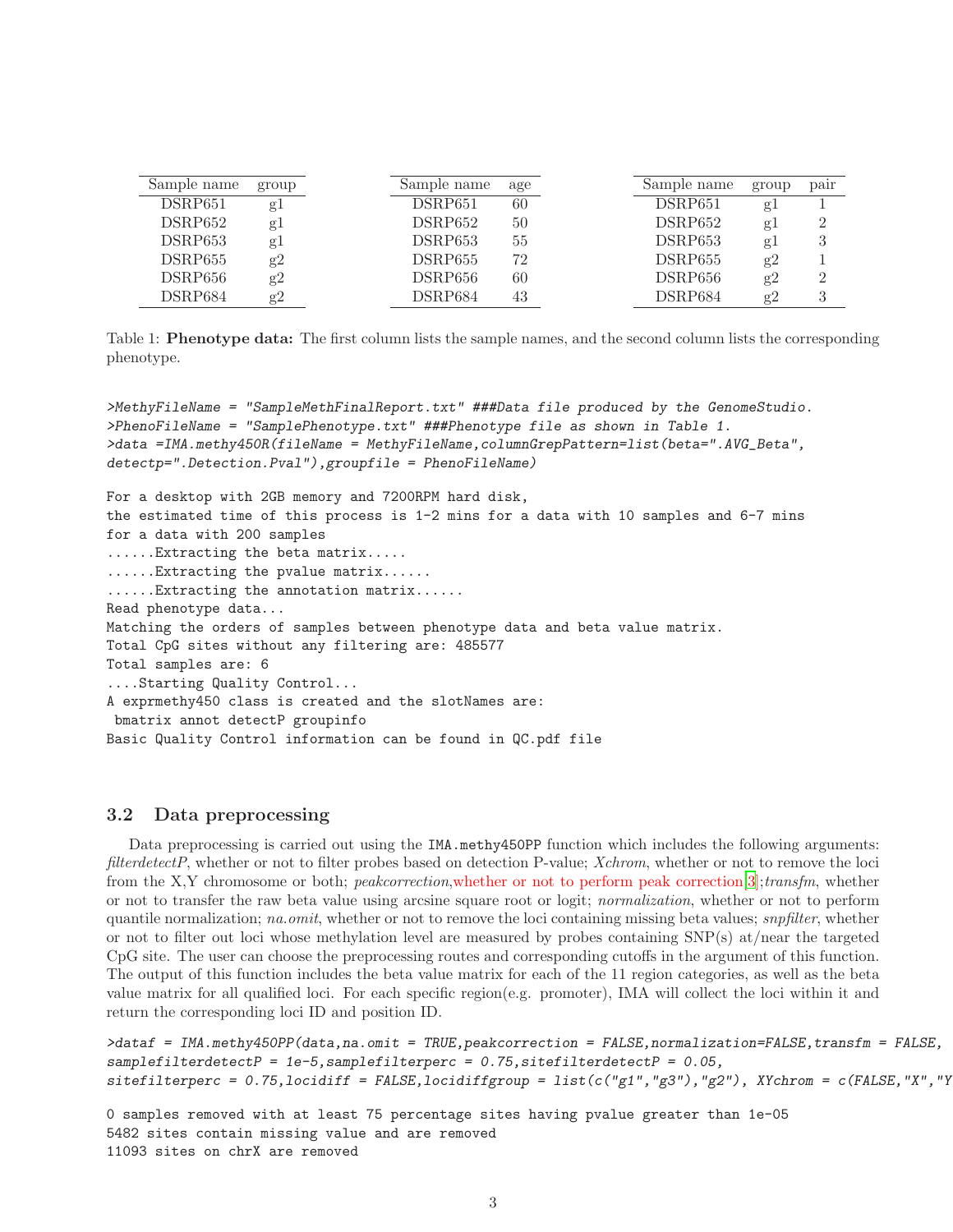| Sample name | group | Sample name         | age | Sample name         | group | pair   |
|-------------|-------|---------------------|-----|---------------------|-------|--------|
| DSRP651     | gl    | DSRP <sub>651</sub> | 60  | DSRP <sub>651</sub> | g     |        |
| DSRP652     | gl    | DSRP652             | 50  | DSRP652             | g J   | 2      |
| DSRP653     | gl    | DSRP653             | 55  | DSRP653             | $g_1$ | 3      |
| DSRP655     | g2    | DSRP655             | 72  | DSRP655             | g2    |        |
| DSRP656     | g2    | DSRP656             | 60  | DSRP656             | g2    | $^{2}$ |
| DSRP684     | g2    | DSRP684             | 43  | DSRP684             | g2    |        |

Table 1: **Phenotype data:** The first column lists the sample names, and the second column lists the corresponding phenotype.

*>MethyFileName = "SampleMethFinalReport.txt" ###Data file produced by the GenomeStudio. >PhenoFileName = "SamplePhenotype.txt" ###Phenotype file as shown in Table 1. >data =IMA.methy450R(fileName = MethyFileName,columnGrepPattern=list(beta=".AVG\_Beta", detectp=".Detection.Pval"),groupfile = PhenoFileName)*

For a desktop with 2GB memory and 7200RPM hard disk, the estimated time of this process is  $1-2$  mins for a data with 10 samples and  $6-7$  mins for a data with 200 samples ......Extracting the beta matrix..... ......Extracting the pvalue matrix...... ......Extracting the annotation matrix...... Read phenotype data... Matching the orders of samples between phenotype data and beta value matrix. Total CpG sites without any filtering are: 485577 Total samples are: 6 ....Starting Quality Control... A exprmethy450 class is created and the slotNames are: bmatrix annot detectP groupinfo Basic Quality Control information can be found in QC.pdf file

#### <span id="page-2-0"></span>3.2 Data preprocessing

Data preprocessing is carried out using the IMA.methy450PP function which includes the following arguments: filterdetectP, whether or not to filter probes based on detection P-value; Xchrom, whether or not to remove the loci from the X,Y chromosome or both; peakcorrection,whether or not to perform peak correction[\[3](#page-8-7)];transfm, whether or not to transfer the raw beta value using arcsine square root or logit; normalization, whether or not to perform quantile normalization; na.omit, whether or not to remove the loci containing missing beta values; snpfilter, whether or not to filter out loci whose methylation level are measured by probes containing SNP(s) at/near the targeted CpG site. The user can choose the preprocessing routes and corresponding cutoffs in the argument of this function. The output of this function includes the beta value matrix for each of the 11 region categories, as well as the beta value matrix for all qualified loci. For each specific region(e.g. promoter), IMA will collect the loci within it and return the corresponding loci ID and position ID.

```
>dataf = IMA.methy450PP(data,na.omit = TRUE,peakcorrection = FALSE,normalization=FALSE,transfm = FALSE,
samplefilterdetectP = 1e-5,samplefilterperc = 0.75,sitefilterdetectP = 0.05,
sitefilterperc = 0.75, locidiff = FALSE, locidiffgroup = list(c("g1", "g3"), "g2"), XYchrom = c(FALSE, "X", "Y), "X"chrom = c(FALSE, "X", "Y')
```
0 samples removed with at least 75 percentage sites having pvalue greater than 1e-05 5482 sites contain missing value and are removed 11093 sites on chrX are removed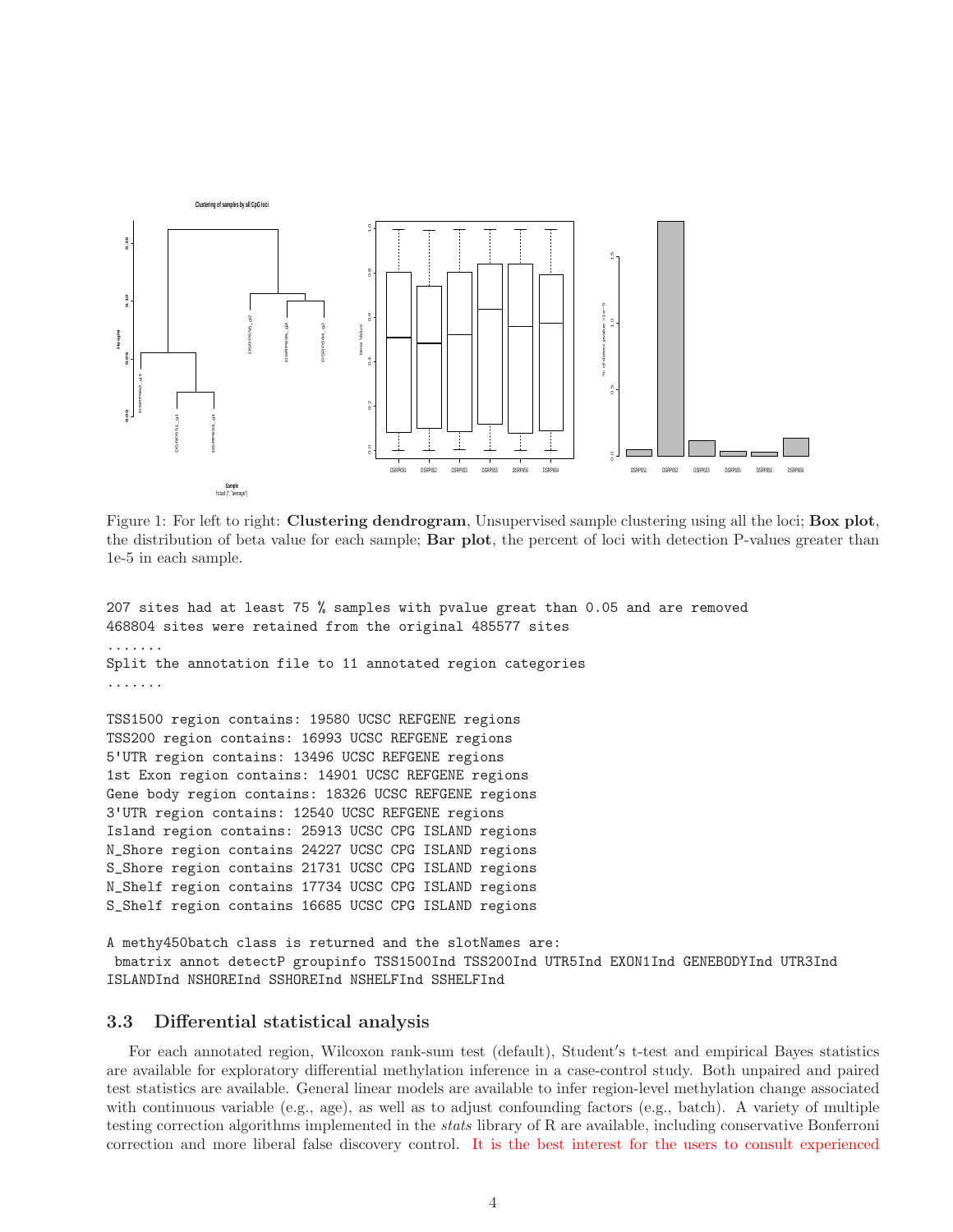

Figure 1: For left to right: Clustering dendrogram, Unsupervised sample clustering using all the loci; Box plot, the distribution of beta value for each sample; Bar plot, the percent of loci with detection P-values greater than 1e-5 in each sample.

```
207 sites had at least 75 % samples with pvalue great than 0.05 and are removed
468804 sites were retained from the original 485577 sites
.......
Split the annotation file to 11 annotated region categories
.......
```
TSS1500 region contains: 19580 UCSC REFGENE regions TSS200 region contains: 16993 UCSC REFGENE regions 5'UTR region contains: 13496 UCSC REFGENE regions 1st Exon region contains: 14901 UCSC REFGENE regions Gene body region contains: 18326 UCSC REFGENE regions 3'UTR region contains: 12540 UCSC REFGENE regions Island region contains: 25913 UCSC CPG ISLAND regions N\_Shore region contains 24227 UCSC CPG ISLAND regions S\_Shore region contains 21731 UCSC CPG ISLAND regions N\_Shelf region contains 17734 UCSC CPG ISLAND regions S\_Shelf region contains 16685 UCSC CPG ISLAND regions

A methy450batch class is returned and the slotNames are: bmatrix annot detectP groupinfo TSS1500Ind TSS200Ind UTR5Ind EXON1Ind GENEBODYInd UTR3Ind ISLANDInd NSHOREInd SSHOREInd NSHELFInd SSHELFInd

### <span id="page-3-0"></span>3.3 Differential statistical analysis

For each annotated region, Wilcoxon rank-sum test (default), Student′ s t-test and empirical Bayes statistics are available for exploratory differential methylation inference in a case-control study. Both unpaired and paired test statistics are available. General linear models are available to infer region-level methylation change associated with continuous variable (e.g., age), as well as to adjust confounding factors (e.g., batch). A variety of multiple testing correction algorithms implemented in the stats library of R are available, including conservative Bonferroni correction and more liberal false discovery control. It is the best interest for the users to consult experienced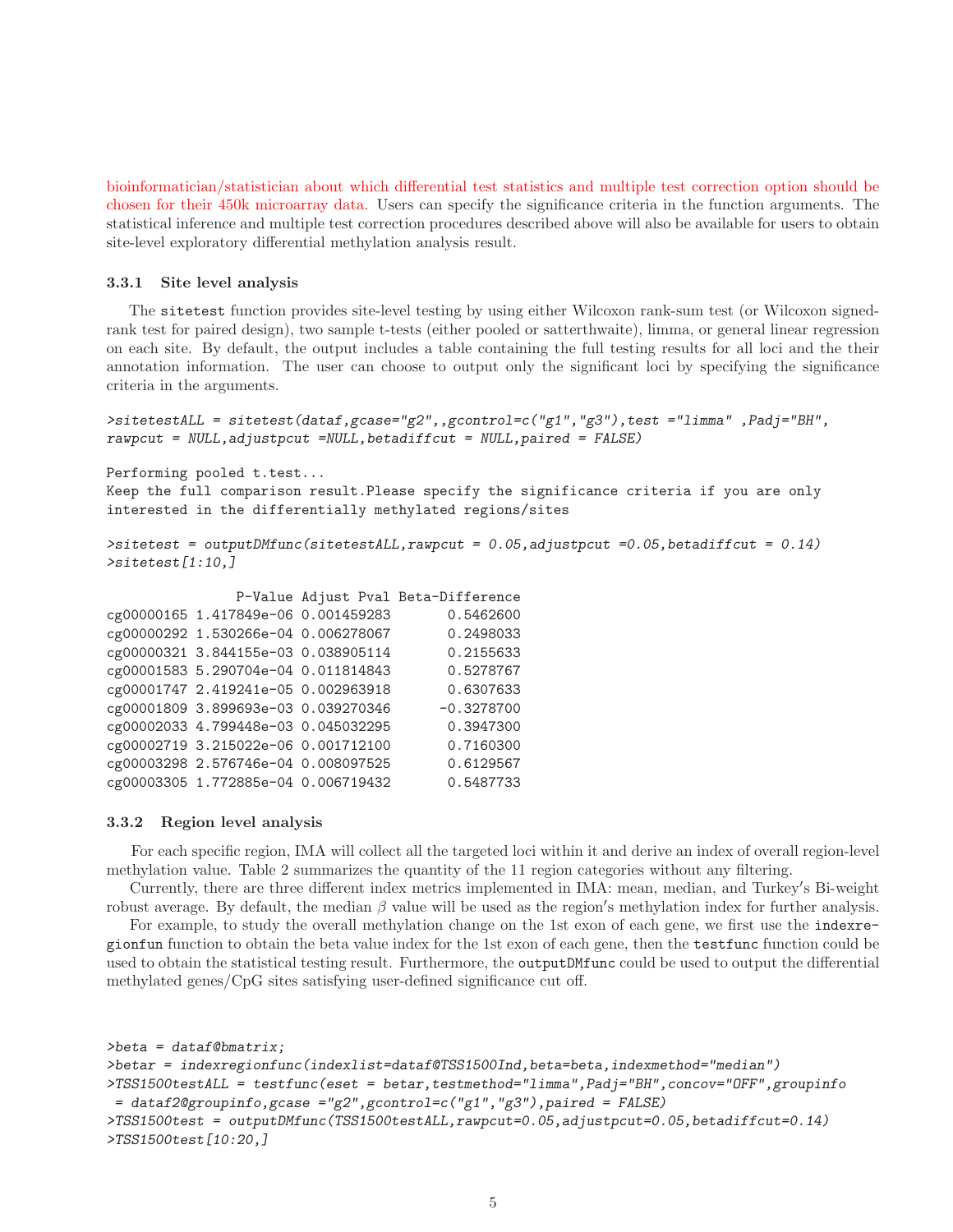bioinformatician/statistician about which differential test statistics and multiple test correction option should be chosen for their 450k microarray data. Users can specify the significance criteria in the function arguments. The statistical inference and multiple test correction procedures described above will also be available for users to obtain site-level exploratory differential methylation analysis result.

#### <span id="page-4-0"></span>3.3.1 Site level analysis

The sitetest function provides site-level testing by using either Wilcoxon rank-sum test (or Wilcoxon signedrank test for paired design), two sample t-tests (either pooled or satterthwaite), limma, or general linear regression on each site. By default, the output includes a table containing the full testing results for all loci and the their annotation information. The user can choose to output only the significant loci by specifying the significance criteria in the arguments.

```
>sitetestALL = sitetest(dataf,gcase="g2",,gcontrol=c("g1","g3"),test ="limma" ,Padj="BH",
rawpcut = NULL,adjustpcut =NULL,betadiffcut = NULL,paired = FALSE)
```
Performing pooled t.test...

Keep the full comparison result.Please specify the significance criteria if you are only interested in the differentially methylated regions/sites

```
>sitetest = outputDMfunc(sitetestALL,rawpcut = 0.05,adjustpcut =0.05,betadiffcut = 0.14)
>sitetest[1:10,]
```

|                                     | P-Value Adjust Pval Beta-Difference |
|-------------------------------------|-------------------------------------|
| cg00000165 1.417849e-06 0.001459283 | 0.5462600                           |
| cg00000292 1.530266e-04 0.006278067 | 0.2498033                           |
| cg00000321 3.844155e-03 0.038905114 | 0.2155633                           |
| cg00001583 5.290704e-04 0.011814843 | 0.5278767                           |
| cg00001747 2.419241e-05 0.002963918 | 0.6307633                           |
| cg00001809 3.899693e-03 0.039270346 | $-0.3278700$                        |
| cg00002033 4.799448e-03 0.045032295 | 0.3947300                           |
| cg00002719 3.215022e-06 0.001712100 | 0.7160300                           |
| cg00003298 2.576746e-04 0.008097525 | 0.6129567                           |
| cg00003305 1.772885e-04 0.006719432 | 0.5487733                           |

#### <span id="page-4-1"></span>3.3.2 Region level analysis

For each specific region, IMA will collect all the targeted loci within it and derive an index of overall region-level methylation value. Table 2 summarizes the quantity of the 11 region categories without any filtering.

Currently, there are three different index metrics implemented in IMA: mean, median, and Turkey′ s Bi-weight robust average. By default, the median  $\beta$  value will be used as the region's methylation index for further analysis.

For example, to study the overall methylation change on the 1st exon of each gene, we first use the indexregionfun function to obtain the beta value index for the 1st exon of each gene, then the testfunc function could be used to obtain the statistical testing result. Furthermore, the outputDMfunc could be used to output the differential methylated genes/CpG sites satisfying user-defined significance cut off.

```
>beta = dataf@bmatrix;
>betar = indexregionfunc(indexlist=dataf@TSS1500Ind,beta=beta,indexmethod="median")
>TSS1500testALL = testfunc(eset = betar,testmethod="limma",Padj="BH",concov="OFF",groupinfo
 = dataf2@groupinfo,gcase ="g2",gcontrol=c("g1","g3"),paired = FALSE)
>TSS1500test = outputDMfunc(TSS1500testALL,rawpcut=0.05,adjustpcut=0.05,betadiffcut=0.14)
>TSS1500test[10:20,]
```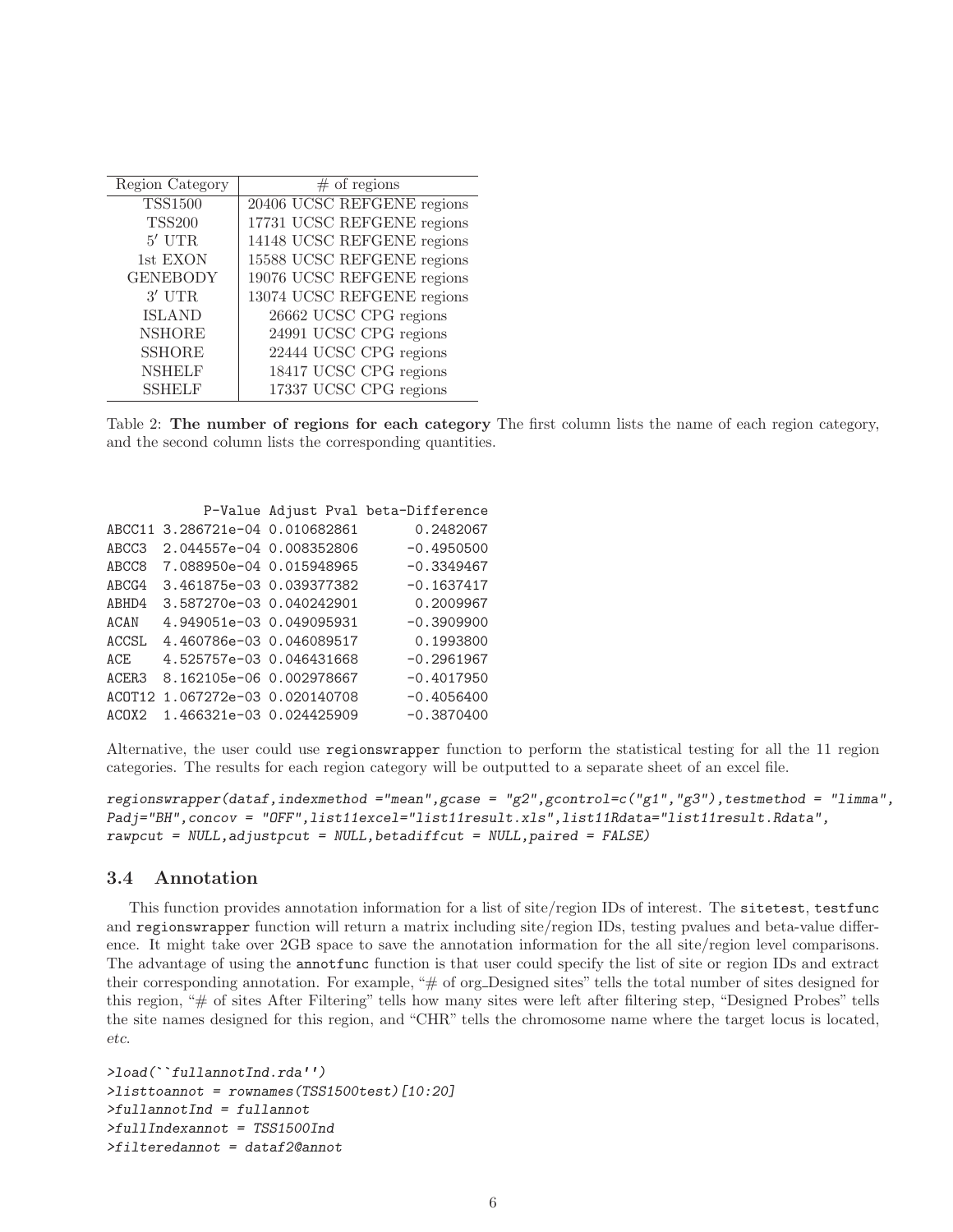| Region Category | $#$ of regions             |
|-----------------|----------------------------|
| <b>TSS1500</b>  | 20406 UCSC REFGENE regions |
| <b>TSS200</b>   | 17731 UCSC REFGENE regions |
| $5'$ UTR        | 14148 UCSC REFGENE regions |
| 1st EXON        | 15588 UCSC REFGENE regions |
| <b>GENEBODY</b> | 19076 UCSC REFGENE regions |
| $3'$ UTR        | 13074 UCSC REFGENE regions |
| <b>ISLAND</b>   | 26662 UCSC CPG regions     |
| <b>NSHORE</b>   | 24991 UCSC CPG regions     |
| <b>SSHORE</b>   | 22444 UCSC CPG regions     |
| <b>NSHELF</b>   | 18417 UCSC CPG regions     |
| <b>SSHELF</b>   | 17337 UCSC CPG regions     |
|                 |                            |

Table 2: The number of regions for each category The first column lists the name of each region category, and the second column lists the corresponding quantities.

|        | 0.2482067                                                                                                                                                                                                                                                                                                                                               |
|--------|---------------------------------------------------------------------------------------------------------------------------------------------------------------------------------------------------------------------------------------------------------------------------------------------------------------------------------------------------------|
|        | $-0.4950500$                                                                                                                                                                                                                                                                                                                                            |
|        | $-0.3349467$                                                                                                                                                                                                                                                                                                                                            |
|        | $-0.1637417$                                                                                                                                                                                                                                                                                                                                            |
|        | 0.2009967                                                                                                                                                                                                                                                                                                                                               |
|        | $-0.3909900$                                                                                                                                                                                                                                                                                                                                            |
|        | 0.1993800                                                                                                                                                                                                                                                                                                                                               |
|        | $-0.2961967$                                                                                                                                                                                                                                                                                                                                            |
|        | $-0.4017950$                                                                                                                                                                                                                                                                                                                                            |
| ACOT12 | $-0.4056400$                                                                                                                                                                                                                                                                                                                                            |
|        | $-0.3870400$                                                                                                                                                                                                                                                                                                                                            |
|        | P-Value Adjust Pval beta-Difference<br>3.286721e-04 0.010682861<br>2.044557e-04 0.008352806<br>7.088950e-04 0.015948965<br>3.461875e-03 0.039377382<br>3.587270e-03 0.040242901<br>4.949051e-03 0.049095931<br>4.460786e-03 0.046089517<br>4.525757e-03 0.046431668<br>8.162105e-06 0.002978667<br>1.067272e-03 0.020140708<br>1.466321e-03 0.024425909 |

Alternative, the user could use regionswrapper function to perform the statistical testing for all the 11 region categories. The results for each region category will be outputted to a separate sheet of an excel file.

*regionswrapper(dataf,indexmethod ="mean",gcase = "g2",gcontrol=c("g1","g3"),testmethod = "limma", Padj="BH",concov = "OFF",list11excel="list11result.xls",list11Rdata="list11result.Rdata", rawpcut = NULL,adjustpcut = NULL,betadiffcut = NULL,paired = FALSE)*

#### <span id="page-5-0"></span>3.4 Annotation

This function provides annotation information for a list of site/region IDs of interest. The sitetest, testfunc and regionswrapper function will return a matrix including site/region IDs, testing pvalues and beta-value difference. It might take over 2GB space to save the annotation information for the all site/region level comparisons. The advantage of using the annotfunc function is that user could specify the list of site or region IDs and extract their corresponding annotation. For example, "# of org Designed sites" tells the total number of sites designed for this region, "# of sites After Filtering" tells how many sites were left after filtering step, "Designed Probes" tells the site names designed for this region, and "CHR" tells the chromosome name where the target locus is located, etc.

```
>load(``fullannotInd.rda'')
>listtoannot = rownames(TSS1500test)[10:20]
>fullannotInd = fullannot
>fullIndexannot = TSS1500Ind
>filteredannot = dataf2@annot
```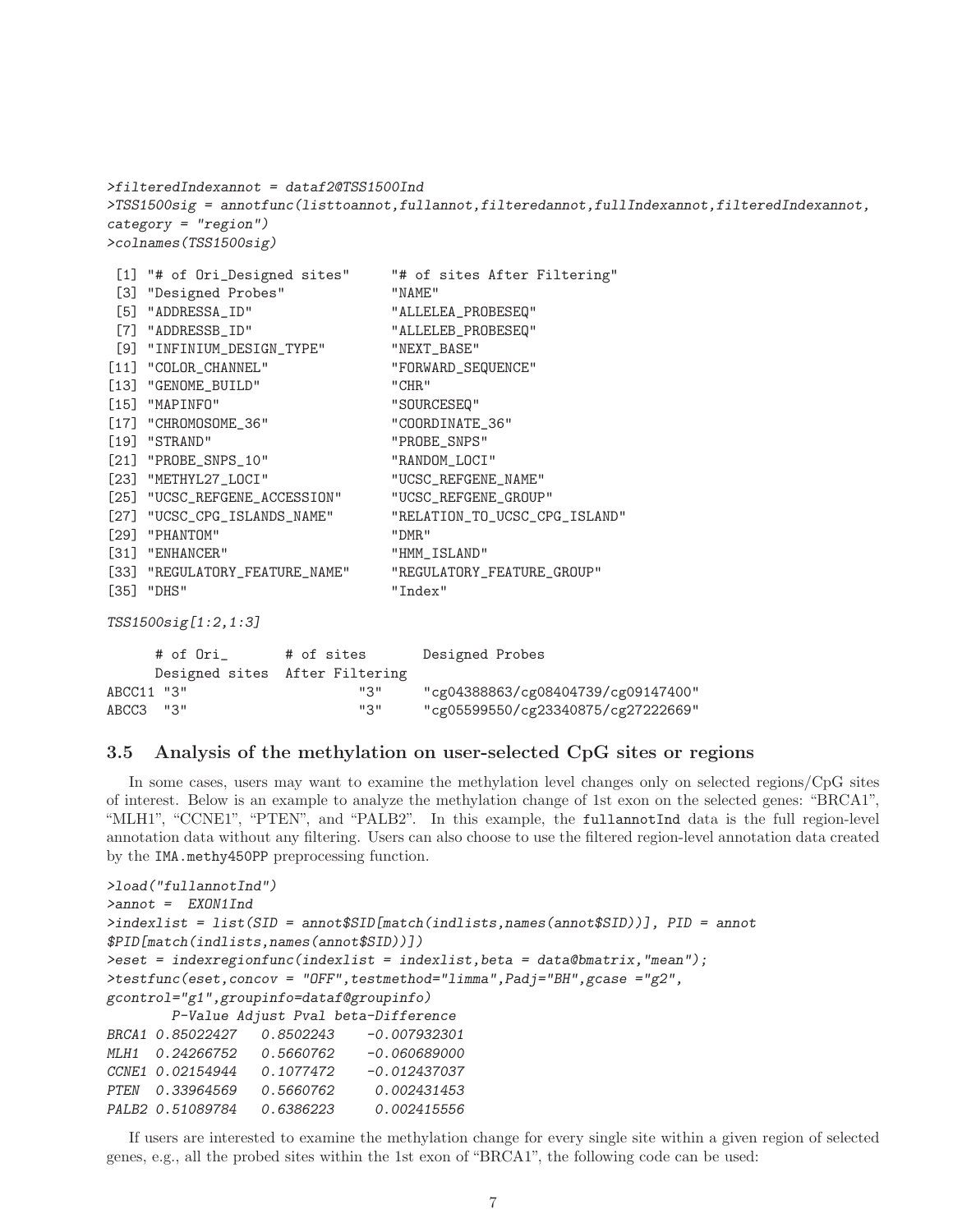```
>filteredIndexannot = dataf2@TSS1500Ind
>TSS1500sig = annotfunc(listtoannot,fullannot,filteredannot,fullIndexannot,filteredIndexannot,
category = "region")
>colnames(TSS1500sig)
[1] "# of Ori_Designed sites" "# of sites After Filtering"
[3] "Designed Probes" "NAME"
[5] "ADDRESSA_ID" "ALLELEA_PROBESEQ"
[7] "ADDRESSB_ID" "ALLELEB_PROBESEQ"
[9] "INFINIUM_DESIGN_TYPE" "NEXT_BASE"
[11] "COLOR_CHANNEL" "FORWARD_SEQUENCE"
[13] "GENOME_BUILD" "CHR"
[15] "MAPINFO" "SOURCESEQ"
[17] "CHROMOSOME 36" "COORDINATE 36"
[19] "STRAND" "PROBE_SNPS"
[21] "PROBE_SNPS_10" "RANDOM_LOCI"
[23] "METHYL27_LOCI" "UCSC_REFGENE_NAME"
[25] "UCSC_REFGENE_ACCESSION" "UCSC_REFGENE_GROUP"
[27] "UCSC_CPG_ISLANDS_NAME" "RELATION_TO_UCSC_CPG_ISLAND"
[29] "PHANTOM" "DMR"
[31] "ENHANCER" "HMM_ISLAND"
[33] "REGULATORY_FEATURE_NAME" "REGULATORY_FEATURE_GROUP"
[35] "DHS" "Index"
TSS1500sig[1:2,1:3]
    # of Ori_ # of sites Designed Probes
    Designed sites After Filtering
ABCC11 "3" "3" "cg04388863/cg08404739/cg09147400"
```
#### <span id="page-6-0"></span>3.5 Analysis of the methylation on user-selected CpG sites or regions

ABCC3 "3" "3" "cg05599550/cg23340875/cg27222669"

In some cases, users may want to examine the methylation level changes only on selected regions/CpG sites of interest. Below is an example to analyze the methylation change of 1st exon on the selected genes: "BRCA1", "MLH1", "CCNE1", "PTEN", and "PALB2". In this example, the fullannotInd data is the full region-level annotation data without any filtering. Users can also choose to use the filtered region-level annotation data created by the IMA.methy450PP preprocessing function.

```
>load("fullannotInd")
>annot = EXON1Ind
>indexlist = list(SID = annot$SID[match(indlists,names(annot$SID))], PID = annot
$PID[match(indlists,names(annot$SID))])
>eset = indexregionfunc(indexlist = indexlist,beta = data@bmatrix,"mean");
>testfunc(eset,concov = "OFF",testmethod="limma",Padj="BH",gcase ="g2",
gcontrol="g1",groupinfo=dataf@groupinfo)
       P-Value Adjust Pval beta-Difference
BRCA1 0.85022427 0.8502243 -0.007932301
MLH1 0.24266752 0.5660762 -0.060689000
CCNE1 0.02154944 0.1077472 -0.012437037
PTEN 0.33964569 0.5660762 0.002431453
PALB2 0.51089784 0.6386223 0.002415556
```
If users are interested to examine the methylation change for every single site within a given region of selected genes, e.g., all the probed sites within the 1st exon of "BRCA1", the following code can be used: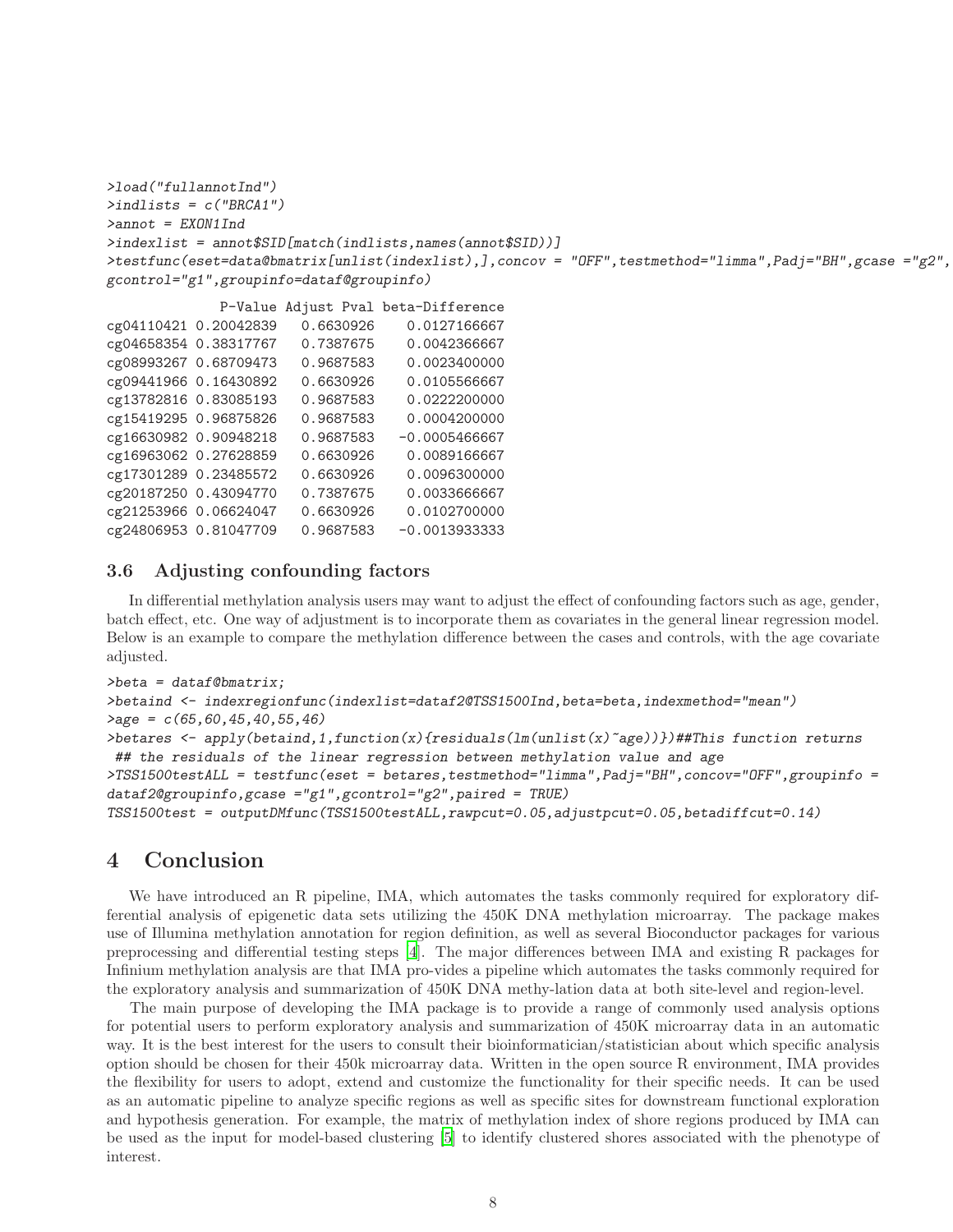```
>load("fullannotInd")
>indlists = c("BRCA1")
>annot = EXON1Ind
>indexlist = annot$SID[match(indlists,names(annot$SID))]
>testfunc(eset=data@bmatrix[unlist(indexlist),],concov = "OFF",testmethod="limma",Padj="BH",gcase ="g2",
gcontrol="g1",groupinfo=dataf@groupinfo)
             P-Value Adjust Pval beta-Difference
cg04110421 0.20042839 0.6630926 0.0127166667
cg04658354 0.38317767 0.7387675 0.0042366667
cg08993267 0.68709473 0.9687583 0.0023400000
cg09441966 0.16430892 0.6630926 0.0105566667
cg13782816 0.83085193 0.9687583 0.0222200000
cg15419295 0.96875826 0.9687583 0.0004200000
cg16630982 0.90948218 0.9687583 -0.0005466667
cg16963062 0.27628859 0.6630926 0.0089166667
cg17301289 0.23485572 0.6630926 0.0096300000
cg20187250 0.43094770 0.7387675 0.0033666667
cg21253966 0.06624047 0.6630926 0.0102700000
cg24806953 0.81047709 0.9687583 -0.0013933333
```
### <span id="page-7-0"></span>3.6 Adjusting confounding factors

In differential methylation analysis users may want to adjust the effect of confounding factors such as age, gender, batch effect, etc. One way of adjustment is to incorporate them as covariates in the general linear regression model. Below is an example to compare the methylation difference between the cases and controls, with the age covariate adjusted.

```
>beta = dataf@bmatrix;
>betaind <- indexregionfunc(indexlist=dataf2@TSS1500Ind,beta=beta,indexmethod="mean")
>age = c(65,60,45,40,55,46)
>betares <- apply(betaind,1,function(x){residuals(lm(unlist(x)~age))})##This function returns
 ## the residuals of the linear regression between methylation value and age
>TSS1500testALL = testfunc(eset = betares,testmethod="limma",Padj="BH",concov="OFF",groupinfo =
dataf2@groupinfo,gcase ="g1",gcontrol="g2",paired = TRUE)
TSS1500test = outputDMfunc(TSS1500testALL,rawpcut=0.05,adjustpcut=0.05,betadiffcut=0.14)
```
### <span id="page-7-1"></span>4 Conclusion

We have introduced an R pipeline, IMA, which automates the tasks commonly required for exploratory differential analysis of epigenetic data sets utilizing the 450K DNA methylation microarray. The package makes use of Illumina methylation annotation for region definition, as well as several Bioconductor packages for various preprocessing and differential testing steps [\[4\]](#page-8-8). The major differences between IMA and existing R packages for Infinium methylation analysis are that IMA pro-vides a pipeline which automates the tasks commonly required for the exploratory analysis and summarization of 450K DNA methy-lation data at both site-level and region-level.

The main purpose of developing the IMA package is to provide a range of commonly used analysis options for potential users to perform exploratory analysis and summarization of 450K microarray data in an automatic way. It is the best interest for the users to consult their bioinformatician/statistician about which specific analysis option should be chosen for their 450k microarray data. Written in the open source R environment, IMA provides the flexibility for users to adopt, extend and customize the functionality for their specific needs. It can be used as an automatic pipeline to analyze specific regions as well as specific sites for downstream functional exploration and hypothesis generation. For example, the matrix of methylation index of shore regions produced by IMA can be used as the input for model-based clustering [\[5](#page-8-9)] to identify clustered shores associated with the phenotype of interest.